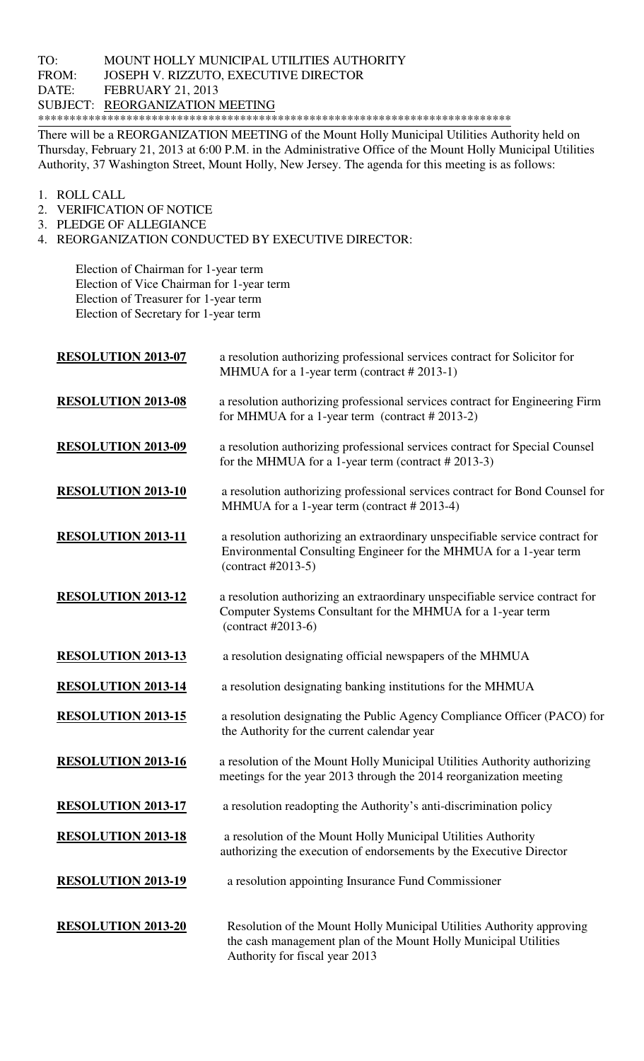## TO: MOUNT HOLLY MUNICIPAL UTILITIES AUTHORITY FROM: JOSEPH V. RIZZUTO, EXECUTIVE DIRECTOR DATE: FEBRUARY 21, 2013 SUBJECT: REORGANIZATION MEETING \*\*\*\*\*\*\*\*\*\*\*\*\*\*\*\*\*\*\*\*\*\*\*\*\*\*\*\*\*\*\*\*\*\*\*\*\*\*\*\*\*\*\*\*\*\*\*\*\*\*\*\*\*\*\*\*\*\*\*\*\*\*\*\*\*\*\*\*\*\*\*\*\*\*\*

There will be a REORGANIZATION MEETING of the Mount Holly Municipal Utilities Authority held on Thursday, February 21, 2013 at 6:00 P.M. in the Administrative Office of the Mount Holly Municipal Utilities Authority, 37 Washington Street, Mount Holly, New Jersey. The agenda for this meeting is as follows:

- 1. ROLL CALL
- 2. VERIFICATION OF NOTICE
- 3. PLEDGE OF ALLEGIANCE
- 4. REORGANIZATION CONDUCTED BY EXECUTIVE DIRECTOR:

 Election of Chairman for 1-year term Election of Vice Chairman for 1-year term Election of Treasurer for 1-year term Election of Secretary for 1-year term

| <b>RESOLUTION 2013-07</b> | a resolution authorizing professional services contract for Solicitor for<br>MHMUA for a 1-year term (contract #2013-1)                                                    |
|---------------------------|----------------------------------------------------------------------------------------------------------------------------------------------------------------------------|
| <b>RESOLUTION 2013-08</b> | a resolution authorizing professional services contract for Engineering Firm<br>for MHMUA for a 1-year term (contract $#2013-2$ )                                          |
| <b>RESOLUTION 2013-09</b> | a resolution authorizing professional services contract for Special Counsel<br>for the MHMUA for a 1-year term (contract $#2013-3$ )                                       |
| <b>RESOLUTION 2013-10</b> | a resolution authorizing professional services contract for Bond Counsel for<br>MHMUA for a 1-year term (contract # 2013-4)                                                |
| <b>RESOLUTION 2013-11</b> | a resolution authorizing an extraordinary unspecifiable service contract for<br>Environmental Consulting Engineer for the MHMUA for a 1-year term<br>$(contract #2013-5)$  |
| <b>RESOLUTION 2013-12</b> | a resolution authorizing an extraordinary unspecifiable service contract for<br>Computer Systems Consultant for the MHMUA for a 1-year term<br>$(contract #2013-6)$        |
| <b>RESOLUTION 2013-13</b> | a resolution designating official newspapers of the MHMUA                                                                                                                  |
| <b>RESOLUTION 2013-14</b> | a resolution designating banking institutions for the MHMUA                                                                                                                |
| <b>RESOLUTION 2013-15</b> | a resolution designating the Public Agency Compliance Officer (PACO) for<br>the Authority for the current calendar year                                                    |
| <b>RESOLUTION 2013-16</b> | a resolution of the Mount Holly Municipal Utilities Authority authorizing<br>meetings for the year 2013 through the 2014 reorganization meeting                            |
| <b>RESOLUTION 2013-17</b> | a resolution readopting the Authority's anti-discrimination policy                                                                                                         |
| <b>RESOLUTION 2013-18</b> | a resolution of the Mount Holly Municipal Utilities Authority<br>authorizing the execution of endorsements by the Executive Director                                       |
| <b>RESOLUTION 2013-19</b> | a resolution appointing Insurance Fund Commissioner                                                                                                                        |
| <b>RESOLUTION 2013-20</b> | Resolution of the Mount Holly Municipal Utilities Authority approving<br>the cash management plan of the Mount Holly Municipal Utilities<br>Authority for fiscal year 2013 |